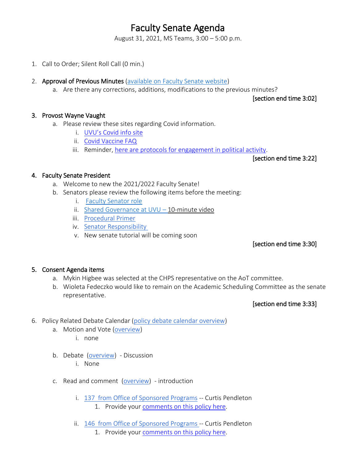# Faculty Senate Agenda

August 31, 2021, MS Teams, 3:00 – 5:00 p.m.

- 1. Call to Order; Silent Roll Call (0 min.)
- 2. Approval of Previous Minutes [\(available on Faculty Senate website\)](https://www.uvu.edu/facsenate/minutes.html)
	- a. Are there any corrections, additions, modifications to the previous minutes?

[section end time 3:02]

#### 3. Provost Wayne Vaught

- a. Please review these sites regarding Covid information.
	- i. [UVU's Covid info site](https://www.uvu.edu/covidinfo/index.html)
	- ii. [Covid Vaccine FAQ](https://drive.google.com/file/d/12L8qSYFC1WGVzVmmh-SCO3VdJ5sW5aqB/view?usp=sharing)
	- iii. Reminder, [here are protocols for engagement in political activity.](https://www.uvu.edu/universityrelations/docs/politicalengagementprotocol.pdf)

[section end time 3:22]

## 4. Faculty Senate President

- a. Welcome to new the 2021/2022 Faculty Senate!
- b. Senators please review the following items before the meeting:
	- i. [Faculty Senator role](https://drive.google.com/file/d/1Vxt-pAUSKv4VRzbdSWJA-tdhsX_iCFAi/view?usp=sharing)
	- ii. Shared Governance at  $UVU 10$ -minute video
	- iii. [Procedural Primer](https://docs.google.com/document/u/0/d/1jkS11NOjSwu0JqLJ9QpakFWj8KAJn3DpAJ-cFNOMjUA/edit)
	- iv. [Senator Responsibility](https://docs.google.com/document/u/0/d/162DwWOh4DulG_5sSOXA44Ms7QFpIxlzpoL0jnfQPtl4/edit)
	- v. New senate tutorial will be coming soon

### [section end time 3:30]

### 5. Consent Agenda items

- a. Mykin Higbee was selected at the CHPS representative on the AoT committee.
- b. Wioleta Fedeczko would like to remain on the Academic Scheduling Committee as the senate representative.

### [section end time 3:33]

- 6. Policy Related Debate Calendar [\(policy debate calendar overview\)](https://drive.google.com/file/d/1qcAYtZh5lFnIa680jE2JKGygThjeMyzK/view?usp=sharing)
	- a. Motion and Vote [\(overview\)](https://drive.google.com/file/d/1qcAYtZh5lFnIa680jE2JKGygThjeMyzK/view?usp=sharing)
		- i. none
	- b. Debate [\(overview\)](https://drive.google.com/file/d/1qcAYtZh5lFnIa680jE2JKGygThjeMyzK/view?usp=sharing) Discussion
		- i. None
	- c. Read and comment [\(overview\)](https://drive.google.com/file/d/1qcAYtZh5lFnIa680jE2JKGygThjeMyzK/view?usp=sharing) introduction
		- i. 137 [from Office of Sponsored Programs](https://policy.uvu.edu/getDisplayFile/5750ed6497e4c89872d95665) -- Curtis Pendleton 1. Provide your [comments on this policy here.](https://docs.google.com/document/d/1Qvrj2oPgOLCLrlauqugObFqReu2HMT-kSbZoZ9uHwS8/edit?usp=sharing)
		- ii. 146 [from Office of Sponsored Programs -](https://policy.uvu.edu/getDisplayFile/5750f1b197e4c89872d95673) Curtis Pendleton
			- 1. Provide your [comments on this policy here.](https://docs.google.com/document/d/14_ydHubTJNAUitDuuVkK3lxiUPokR43D79OhNzIx9YQ/edit?usp=sharing)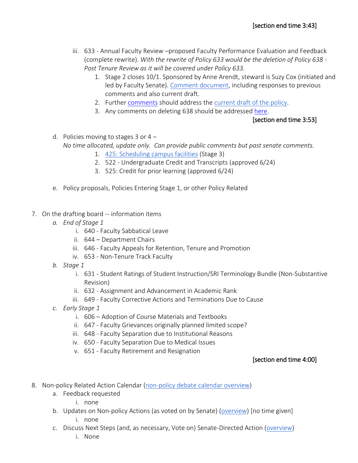- iii. 633 Annual Faculty Review –proposed Faculty Performance Evaluation and Feedback (complete rewrite). *With the rewrite of Policy 633 would be the deletion of Policy 638 - Post Tenure Review as it will be covered under Policy 633.*
	- 1. Stage 2 closes 10/1. Sponsored by Anne Arendt, steward is Suzy Cox (initiated and led by Faculty Senate). [Comment document,](https://docs.google.com/document/d/1CLg6UXnm_NBps8HtEIEM70om-XV6Xl7MLiSOHga0KvY/edit?usp=sharing) including responses to previous comments and also current draft.
	- 2. Further [comments](https://docs.google.com/document/d/1DjrzpI2GRJX7SRD1qFvst9jEdFHWbbeZVNF2DHaf1SQ/edit?usp=sharing) should address th[e current draft of the policy.](https://docs.google.com/document/d/165FcbmotArFpdu0_g9sKkOXZrbr3tDpf/edit?usp=sharing&ouid=107635503930651989069&rtpof=true&sd=true)
	- 3. Any comments on deleting 638 should be addressed [here.](https://docs.google.com/document/d/1vYvDCmw5Mt0Wz2pSdAgpPR7cBfEhcnQdSaDMIXGBQiU/edit?usp=sharing)

## [section end time 3:53]

d. Policies moving to stages 3 or  $4 -$ *No time allocated, update only. Can provide public comments but past senate comments.*

- 1. [425: Scheduling campus facilities](https://policy.uvu.edu/getDisplayFile/59a85b3b568009ec588136fe) (Stage 3)
- 2. 522 Undergraduate Credit and Transcripts (approved 6/24)
- 3. 525: Credit for prior learning (approved 6/24)
- e. Policy proposals, Policies Entering Stage 1, or other Policy Related
- 7. On the drafting board -- information items
	- *a. End of Stage 1*
		- i. 640 Faculty Sabbatical Leave
		- ii. 644 Department Chairs
		- iii. 646 Faculty Appeals for Retention, Tenure and Promotion
		- iv. 653 Non-Tenure Track Faculty
	- *b. Stage 1*
		- i. 631 Student Ratings of Student Instruction/SRI Terminology Bundle (Non-Substantive Revision)
		- ii. 632 Assignment and Advancement in Academic Rank
		- iii. 649 Faculty Corrective Actions and Terminations Due to Cause
	- *c. Early Stage 1*
		- i. 606 Adoption of Course Materials and Textbooks
		- ii. 647 Faculty Grievances originally planned limited scope?
		- iii. 648 Faculty Separation due to Institutional Reasons
		- iv. 650 Faculty Separation Due to Medical Issues
		- v. 651 Faculty Retirement and Resignation

# [section end time 4:00]

- 8. Non-policy Related Action Calendar [\(non-policy debate calendar overview\)](https://docs.google.com/document/d/1zrPy0Fn9xcOhidd1XMgo1opj-lYb_9aTvLKg_NI1eLA/edit?usp=sharing)
	- a. Feedback requested
		- i. none
	- b. Updates on Non-policy Actions (as voted on by Senate) [\(overview\)](https://docs.google.com/document/d/1zrPy0Fn9xcOhidd1XMgo1opj-lYb_9aTvLKg_NI1eLA/edit#bookmark=id.20s1i57f673d) [no time given]
		- i. none
	- c. Discuss Next Steps (and, as necessary, Vote on) Senate-Directed Action [\(overview\)](https://docs.google.com/document/d/1zrPy0Fn9xcOhidd1XMgo1opj-lYb_9aTvLKg_NI1eLA/edit#bookmark=id.1turi862unvt)
		- i. None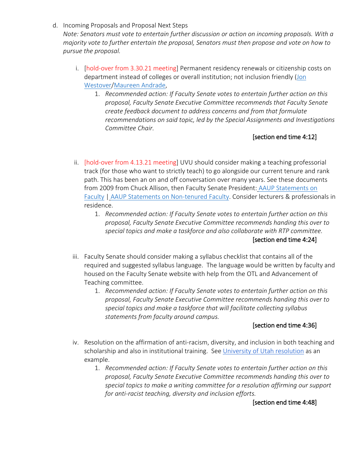d. Incoming Proposals and Proposal Next Steps

*Note: Senators must vote to entertain further discussion or action on incoming proposals. With a majority vote to further entertain the proposal, Senators must then propose and vote on how to pursue the proposal.*

- i. [hold-over from 3.30.21 meeting] Permanent residency renewals or citizenship costs on department instead of colleges or overall institution; not inclusion friendly (Jon [Westover/](https://www.uvu.edu/directory/employee/?id=aFl6VXZQU0Nab3dWU3B3bEhrelhSQT09)[Maureen Andrade,](https://www.uvu.edu/directory/employee/?id=NFhUTGo0MUQ3dkY5Y1JUL2NETHdJQT09)
	- 1. *Recommended action: If Faculty Senate votes to entertain further action on this proposal, Faculty Senate Executive Committee recommends that Faculty Senate create feedback document to address concerns and from that formulate recommendations on said topic, led by the Special Assignments and Investigations Committee Chair.*

# [section end time 4:12]

- ii. [hold-over from 4.13.21 meeting] UVU should consider making a teaching professorial track (for those who want to strictly teach) to go alongside our current tenure and rank path. This has been an on and off conversation over many years. See these documents from 2009 from Chuck Allison, then Faculty Senate President: [AAUP Statements on](https://drive.google.com/file/d/15MFUkD42wXRUUGnn9xenvigkHeO1_ZT8/view?usp=sharing)  [Faculty](https://drive.google.com/file/d/15MFUkD42wXRUUGnn9xenvigkHeO1_ZT8/view?usp=sharing) | [AAUP Statements on Non-tenured Faculty.](https://drive.google.com/file/d/1KhhWVfa15ixy7A7J9ZLMtcNshn7-bEMC/view?usp=sharing) Consider lecturers & professionals in residence.
	- 1. *Recommended action: If Faculty Senate votes to entertain further action on this proposal, Faculty Senate Executive Committee recommends handing this over to special topics and make a taskforce and also collaborate with RTP committee.* [section end time 4:24]
- iii. Faculty Senate should consider making a syllabus checklist that contains all of the required and suggested syllabus language. The language would be written by faculty and housed on the Faculty Senate website with help from the OTL and Advancement of Teaching committee.
	- 1. *Recommended action: If Faculty Senate votes to entertain further action on this proposal, Faculty Senate Executive Committee recommends handing this over to special topics and make a taskforce that will facilitate collecting syllabus statements from faculty around campus.*

## [section end time 4:36]

- iv. Resolution on the affirmation of anti-racism, diversity, and inclusion in both teaching and scholarship and also in institutional training. See [University of Utah resolution](https://academic-senate.utah.edu/senate-resolutions/senate-affirmation-of-support-for-anti-racism-diversity-and-inclusion-scholarship-teaching-and-training-at-the-university-of-utah/) as an example.
	- 1. *Recommended action: If Faculty Senate votes to entertain further action on this proposal, Faculty Senate Executive Committee recommends handing this over to special topics to make a writing committee for a resolution affirming our support for anti-racist teaching, diversity and inclusion efforts.*

[section end time 4:48]